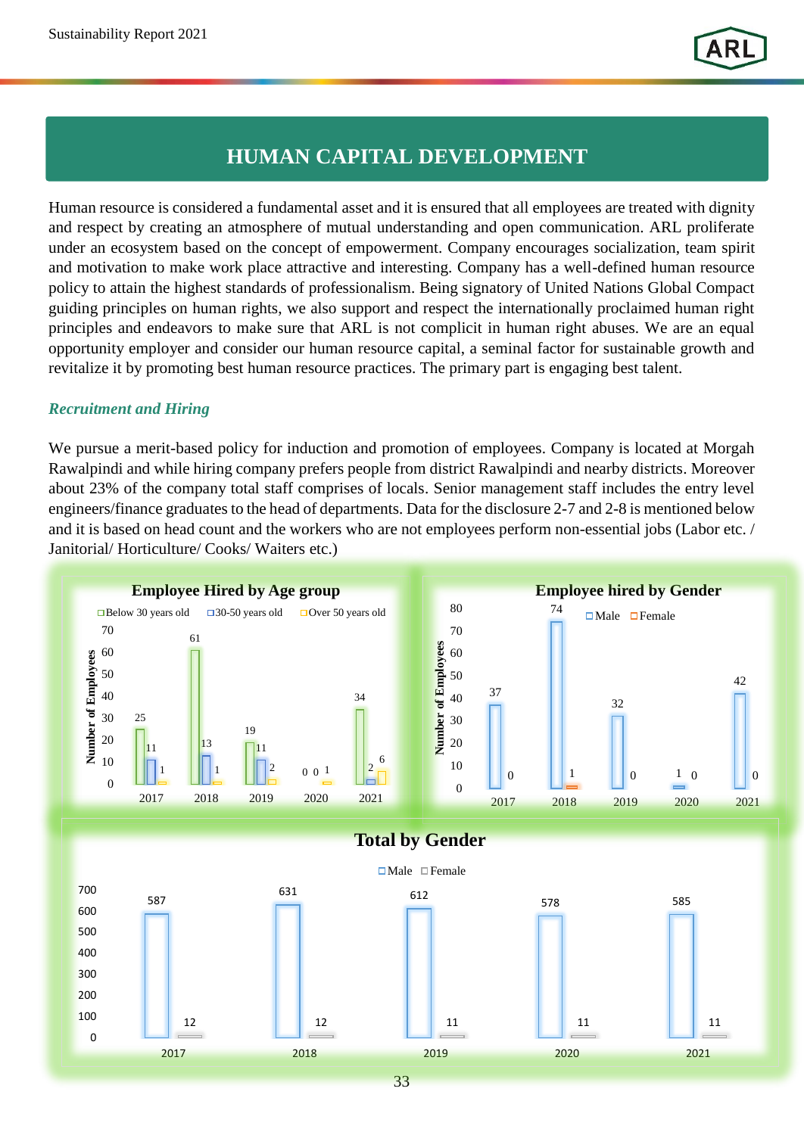## **HUMAN CAPITAL DEVELOPMENT**

Human resource is considered a fundamental asset and it is ensured that all employees are treated with dignity and respect by creating an atmosphere of mutual understanding and open communication. ARL proliferate under an ecosystem based on the concept of empowerment. Company encourages socialization, team spirit and motivation to make work place attractive and interesting. Company has a well-defined human resource policy to attain the highest standards of professionalism. Being signatory of United Nations Global Compact guiding principles on human rights, we also support and respect the internationally proclaimed human right principles and endeavors to make sure that ARL is not complicit in human right abuses. We are an equal opportunity employer and consider our human resource capital, a seminal factor for sustainable growth and revitalize it by promoting best human resource practices. The primary part is engaging best talent.

## *Recruitment and Hiring*

We pursue a merit-based policy for induction and promotion of employees. Company is located at Morgah Rawalpindi and while hiring company prefers people from district Rawalpindi and nearby districts. Moreover about 23% of the company total staff comprises of locals. Senior management staff includes the entry level engineers/finance graduates to the head of departments. Data for the disclosure 2-7 and 2-8 is mentioned below and it is based on head count and the workers who are not employees perform non-essential jobs (Labor etc. / Janitorial/ Horticulture/ Cooks/ Waiters etc.)